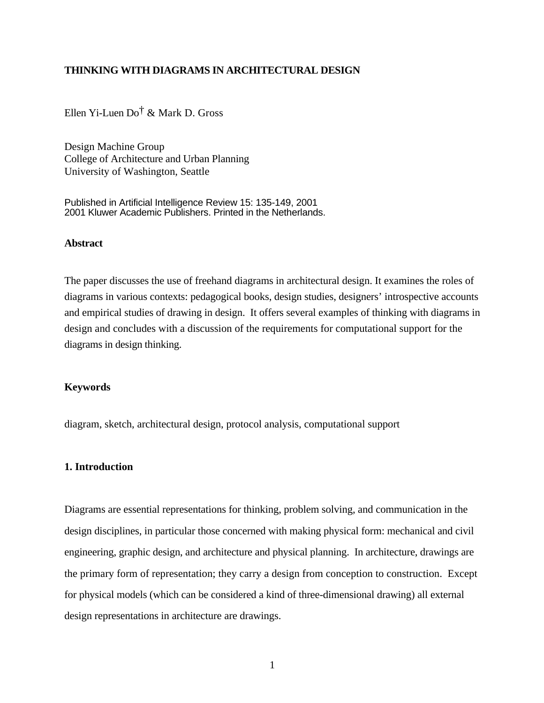## **THINKING WITH DIAGRAMS IN ARCHITECTURAL DESIGN**

Ellen Yi-Luen Do† & Mark D. Gross

Design Machine Group College of Architecture and Urban Planning University of Washington, Seattle

Published in Artificial Intelligence Review 15: 135-149, 2001 2001 Kluwer Academic Publishers. Printed in the Netherlands.

## **Abstract**

The paper discusses the use of freehand diagrams in architectural design. It examines the roles of diagrams in various contexts: pedagogical books, design studies, designers' introspective accounts and empirical studies of drawing in design. It offers several examples of thinking with diagrams in design and concludes with a discussion of the requirements for computational support for the diagrams in design thinking.

## **Keywords**

diagram, sketch, architectural design, protocol analysis, computational support

## **1. Introduction**

Diagrams are essential representations for thinking, problem solving, and communication in the design disciplines, in particular those concerned with making physical form: mechanical and civil engineering, graphic design, and architecture and physical planning. In architecture, drawings are the primary form of representation; they carry a design from conception to construction. Except for physical models (which can be considered a kind of three-dimensional drawing) all external design representations in architecture are drawings.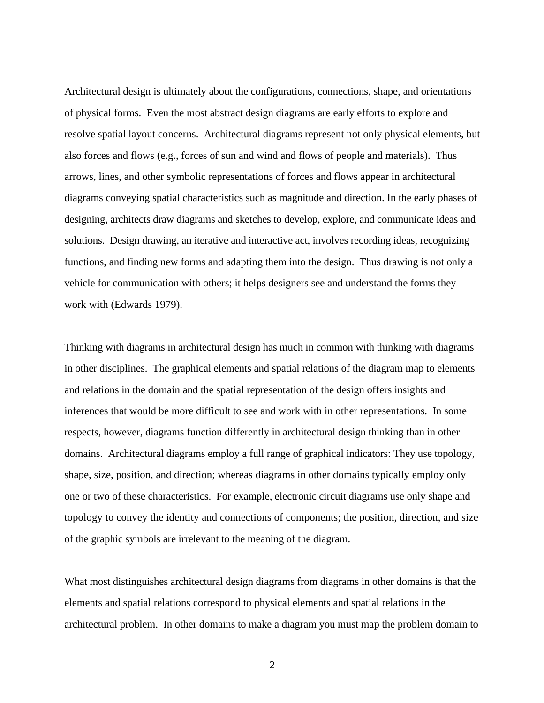Architectural design is ultimately about the configurations, connections, shape, and orientations of physical forms. Even the most abstract design diagrams are early efforts to explore and resolve spatial layout concerns. Architectural diagrams represent not only physical elements, but also forces and flows (e.g., forces of sun and wind and flows of people and materials). Thus arrows, lines, and other symbolic representations of forces and flows appear in architectural diagrams conveying spatial characteristics such as magnitude and direction. In the early phases of designing, architects draw diagrams and sketches to develop, explore, and communicate ideas and solutions. Design drawing, an iterative and interactive act, involves recording ideas, recognizing functions, and finding new forms and adapting them into the design. Thus drawing is not only a vehicle for communication with others; it helps designers see and understand the forms they work with (Edwards 1979).

Thinking with diagrams in architectural design has much in common with thinking with diagrams in other disciplines. The graphical elements and spatial relations of the diagram map to elements and relations in the domain and the spatial representation of the design offers insights and inferences that would be more difficult to see and work with in other representations. In some respects, however, diagrams function differently in architectural design thinking than in other domains. Architectural diagrams employ a full range of graphical indicators: They use topology, shape, size, position, and direction; whereas diagrams in other domains typically employ only one or two of these characteristics. For example, electronic circuit diagrams use only shape and topology to convey the identity and connections of components; the position, direction, and size of the graphic symbols are irrelevant to the meaning of the diagram.

What most distinguishes architectural design diagrams from diagrams in other domains is that the elements and spatial relations correspond to physical elements and spatial relations in the architectural problem. In other domains to make a diagram you must map the problem domain to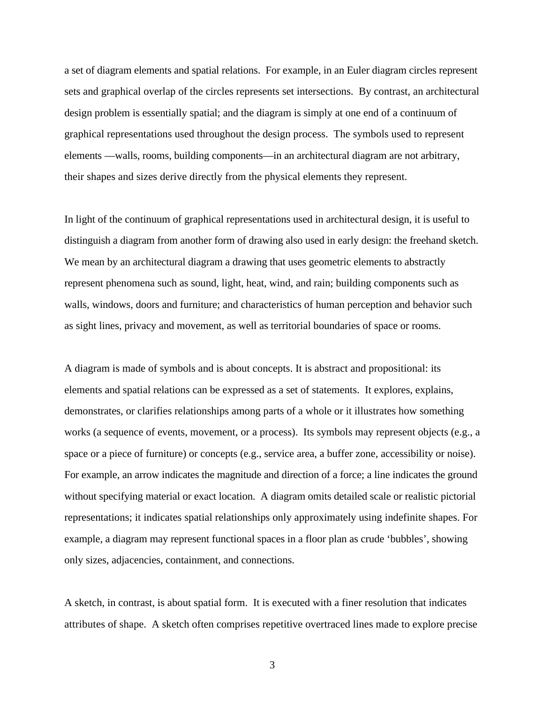a set of diagram elements and spatial relations. For example, in an Euler diagram circles represent sets and graphical overlap of the circles represents set intersections. By contrast, an architectural design problem is essentially spatial; and the diagram is simply at one end of a continuum of graphical representations used throughout the design process. The symbols used to represent elements —walls, rooms, building components—in an architectural diagram are not arbitrary, their shapes and sizes derive directly from the physical elements they represent.

In light of the continuum of graphical representations used in architectural design, it is useful to distinguish a diagram from another form of drawing also used in early design: the freehand sketch. We mean by an architectural diagram a drawing that uses geometric elements to abstractly represent phenomena such as sound, light, heat, wind, and rain; building components such as walls, windows, doors and furniture; and characteristics of human perception and behavior such as sight lines, privacy and movement, as well as territorial boundaries of space or rooms.

A diagram is made of symbols and is about concepts. It is abstract and propositional: its elements and spatial relations can be expressed as a set of statements. It explores, explains, demonstrates, or clarifies relationships among parts of a whole or it illustrates how something works (a sequence of events, movement, or a process). Its symbols may represent objects (e.g., a space or a piece of furniture) or concepts (e.g., service area, a buffer zone, accessibility or noise). For example, an arrow indicates the magnitude and direction of a force; a line indicates the ground without specifying material or exact location. A diagram omits detailed scale or realistic pictorial representations; it indicates spatial relationships only approximately using indefinite shapes. For example, a diagram may represent functional spaces in a floor plan as crude 'bubbles', showing only sizes, adjacencies, containment, and connections.

A sketch, in contrast, is about spatial form. It is executed with a finer resolution that indicates attributes of shape. A sketch often comprises repetitive overtraced lines made to explore precise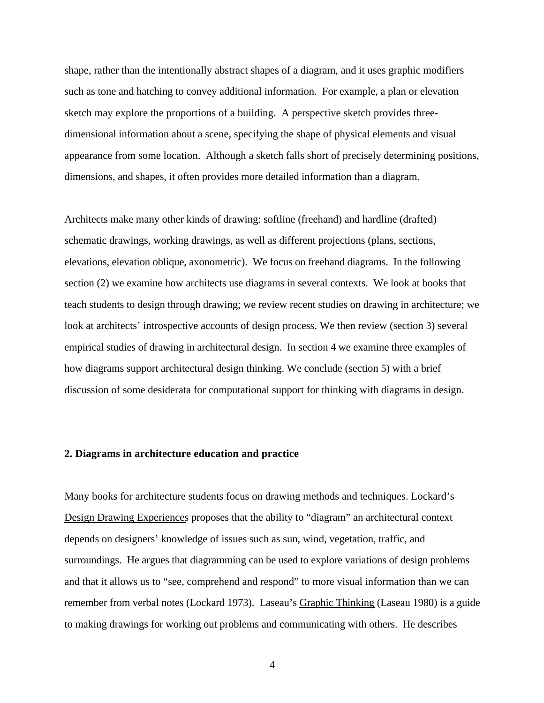shape, rather than the intentionally abstract shapes of a diagram, and it uses graphic modifiers such as tone and hatching to convey additional information. For example, a plan or elevation sketch may explore the proportions of a building. A perspective sketch provides threedimensional information about a scene, specifying the shape of physical elements and visual appearance from some location. Although a sketch falls short of precisely determining positions, dimensions, and shapes, it often provides more detailed information than a diagram.

Architects make many other kinds of drawing: softline (freehand) and hardline (drafted) schematic drawings, working drawings, as well as different projections (plans, sections, elevations, elevation oblique, axonometric). We focus on freehand diagrams. In the following section (2) we examine how architects use diagrams in several contexts. We look at books that teach students to design through drawing; we review recent studies on drawing in architecture; we look at architects' introspective accounts of design process. We then review (section 3) several empirical studies of drawing in architectural design. In section 4 we examine three examples of how diagrams support architectural design thinking. We conclude (section 5) with a brief discussion of some desiderata for computational support for thinking with diagrams in design.

## **2. Diagrams in architecture education and practice**

Many books for architecture students focus on drawing methods and techniques. Lockard's Design Drawing Experiences proposes that the ability to "diagram" an architectural context depends on designers' knowledge of issues such as sun, wind, vegetation, traffic, and surroundings. He argues that diagramming can be used to explore variations of design problems and that it allows us to "see, comprehend and respond" to more visual information than we can remember from verbal notes (Lockard 1973). Laseau's Graphic Thinking (Laseau 1980) is a guide to making drawings for working out problems and communicating with others. He describes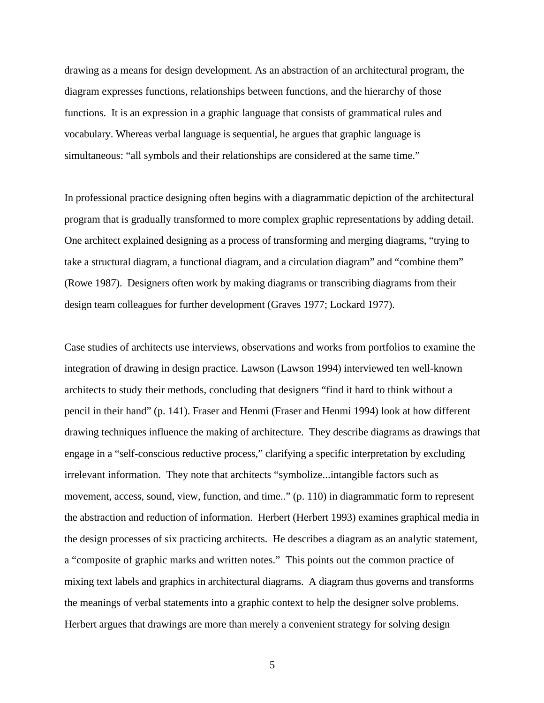drawing as a means for design development. As an abstraction of an architectural program, the diagram expresses functions, relationships between functions, and the hierarchy of those functions. It is an expression in a graphic language that consists of grammatical rules and vocabulary. Whereas verbal language is sequential, he argues that graphic language is simultaneous: "all symbols and their relationships are considered at the same time."

In professional practice designing often begins with a diagrammatic depiction of the architectural program that is gradually transformed to more complex graphic representations by adding detail. One architect explained designing as a process of transforming and merging diagrams, "trying to take a structural diagram, a functional diagram, and a circulation diagram" and "combine them" (Rowe 1987). Designers often work by making diagrams or transcribing diagrams from their design team colleagues for further development (Graves 1977; Lockard 1977).

Case studies of architects use interviews, observations and works from portfolios to examine the integration of drawing in design practice. Lawson (Lawson 1994) interviewed ten well-known architects to study their methods, concluding that designers "find it hard to think without a pencil in their hand" (p. 141). Fraser and Henmi (Fraser and Henmi 1994) look at how different drawing techniques influence the making of architecture. They describe diagrams as drawings that engage in a "self-conscious reductive process," clarifying a specific interpretation by excluding irrelevant information. They note that architects "symbolize...intangible factors such as movement, access, sound, view, function, and time.." (p. 110) in diagrammatic form to represent the abstraction and reduction of information. Herbert (Herbert 1993) examines graphical media in the design processes of six practicing architects. He describes a diagram as an analytic statement, a "composite of graphic marks and written notes." This points out the common practice of mixing text labels and graphics in architectural diagrams. A diagram thus governs and transforms the meanings of verbal statements into a graphic context to help the designer solve problems. Herbert argues that drawings are more than merely a convenient strategy for solving design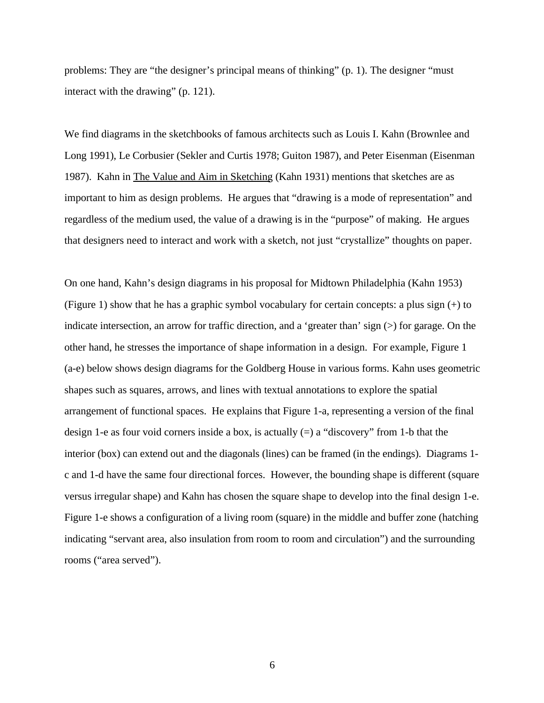problems: They are "the designer's principal means of thinking" (p. 1). The designer "must interact with the drawing" (p. 121).

We find diagrams in the sketchbooks of famous architects such as Louis I. Kahn (Brownlee and Long 1991), Le Corbusier (Sekler and Curtis 1978; Guiton 1987), and Peter Eisenman (Eisenman 1987). Kahn in The Value and Aim in Sketching (Kahn 1931) mentions that sketches are as important to him as design problems. He argues that "drawing is a mode of representation" and regardless of the medium used, the value of a drawing is in the "purpose" of making. He argues that designers need to interact and work with a sketch, not just "crystallize" thoughts on paper.

On one hand, Kahn's design diagrams in his proposal for Midtown Philadelphia (Kahn 1953) (Figure 1) show that he has a graphic symbol vocabulary for certain concepts: a plus sign (+) to indicate intersection, an arrow for traffic direction, and a 'greater than' sign (>) for garage. On the other hand, he stresses the importance of shape information in a design. For example, Figure 1 (a-e) below shows design diagrams for the Goldberg House in various forms. Kahn uses geometric shapes such as squares, arrows, and lines with textual annotations to explore the spatial arrangement of functional spaces. He explains that Figure 1-a, representing a version of the final design 1-e as four void corners inside a box, is actually  $(=)$  a "discovery" from 1-b that the interior (box) can extend out and the diagonals (lines) can be framed (in the endings). Diagrams 1 c and 1-d have the same four directional forces. However, the bounding shape is different (square versus irregular shape) and Kahn has chosen the square shape to develop into the final design 1-e. Figure 1-e shows a configuration of a living room (square) in the middle and buffer zone (hatching indicating "servant area, also insulation from room to room and circulation") and the surrounding rooms ("area served").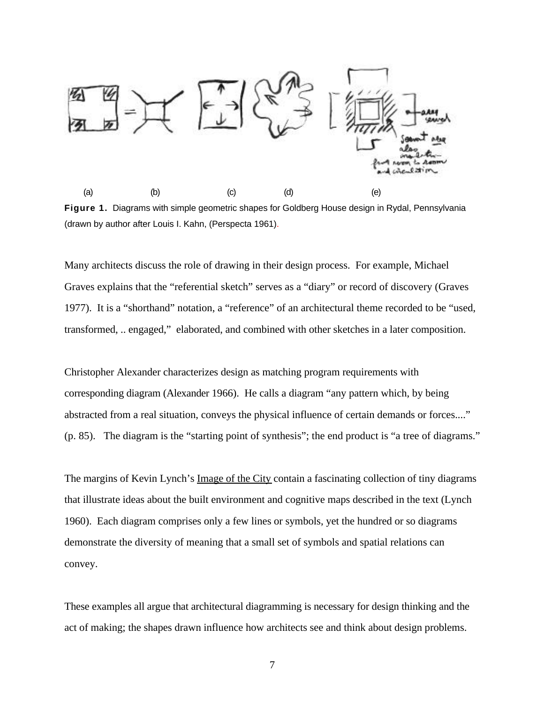

**Figure 1.** Diagrams with simple geometric shapes for Goldberg House design in Rydal, Pennsylvania (drawn by author after Louis I. Kahn, (Perspecta 1961).

Many architects discuss the role of drawing in their design process. For example, Michael Graves explains that the "referential sketch" serves as a "diary" or record of discovery (Graves 1977). It is a "shorthand" notation, a "reference" of an architectural theme recorded to be "used, transformed, .. engaged," elaborated, and combined with other sketches in a later composition.

Christopher Alexander characterizes design as matching program requirements with corresponding diagram (Alexander 1966). He calls a diagram "any pattern which, by being abstracted from a real situation, conveys the physical influence of certain demands or forces...." (p. 85). The diagram is the "starting point of synthesis"; the end product is "a tree of diagrams."

The margins of Kevin Lynch's Image of the City contain a fascinating collection of tiny diagrams that illustrate ideas about the built environment and cognitive maps described in the text (Lynch 1960). Each diagram comprises only a few lines or symbols, yet the hundred or so diagrams demonstrate the diversity of meaning that a small set of symbols and spatial relations can convey.

These examples all argue that architectural diagramming is necessary for design thinking and the act of making; the shapes drawn influence how architects see and think about design problems.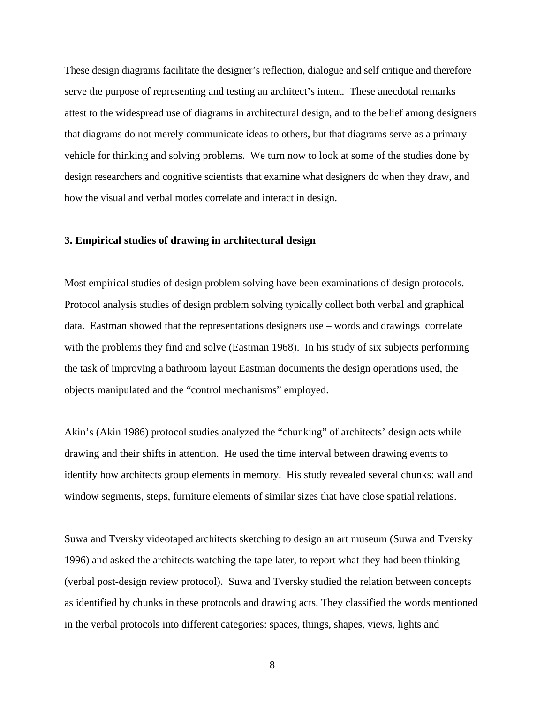These design diagrams facilitate the designer's reflection, dialogue and self critique and therefore serve the purpose of representing and testing an architect's intent. These anecdotal remarks attest to the widespread use of diagrams in architectural design, and to the belief among designers that diagrams do not merely communicate ideas to others, but that diagrams serve as a primary vehicle for thinking and solving problems. We turn now to look at some of the studies done by design researchers and cognitive scientists that examine what designers do when they draw, and how the visual and verbal modes correlate and interact in design.

## **3. Empirical studies of drawing in architectural design**

Most empirical studies of design problem solving have been examinations of design protocols. Protocol analysis studies of design problem solving typically collect both verbal and graphical data. Eastman showed that the representations designers use – words and drawings correlate with the problems they find and solve (Eastman 1968). In his study of six subjects performing the task of improving a bathroom layout Eastman documents the design operations used, the objects manipulated and the "control mechanisms" employed.

Akin's (Akin 1986) protocol studies analyzed the "chunking" of architects' design acts while drawing and their shifts in attention. He used the time interval between drawing events to identify how architects group elements in memory. His study revealed several chunks: wall and window segments, steps, furniture elements of similar sizes that have close spatial relations.

Suwa and Tversky videotaped architects sketching to design an art museum (Suwa and Tversky 1996) and asked the architects watching the tape later, to report what they had been thinking (verbal post-design review protocol). Suwa and Tversky studied the relation between concepts as identified by chunks in these protocols and drawing acts. They classified the words mentioned in the verbal protocols into different categories: spaces, things, shapes, views, lights and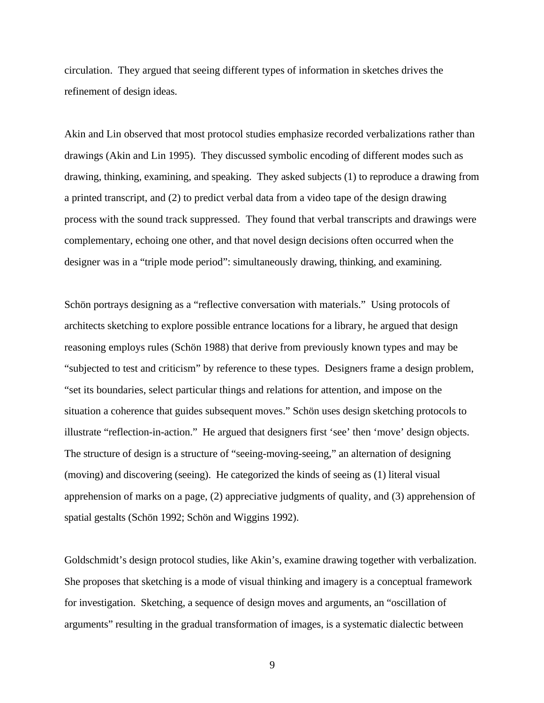circulation. They argued that seeing different types of information in sketches drives the refinement of design ideas.

Akin and Lin observed that most protocol studies emphasize recorded verbalizations rather than drawings (Akin and Lin 1995). They discussed symbolic encoding of different modes such as drawing, thinking, examining, and speaking. They asked subjects (1) to reproduce a drawing from a printed transcript, and (2) to predict verbal data from a video tape of the design drawing process with the sound track suppressed. They found that verbal transcripts and drawings were complementary, echoing one other, and that novel design decisions often occurred when the designer was in a "triple mode period": simultaneously drawing, thinking, and examining.

Schön portrays designing as a "reflective conversation with materials." Using protocols of architects sketching to explore possible entrance locations for a library, he argued that design reasoning employs rules (Schön 1988) that derive from previously known types and may be "subjected to test and criticism" by reference to these types. Designers frame a design problem, "set its boundaries, select particular things and relations for attention, and impose on the situation a coherence that guides subsequent moves." Schön uses design sketching protocols to illustrate "reflection-in-action." He argued that designers first 'see' then 'move' design objects. The structure of design is a structure of "seeing-moving-seeing," an alternation of designing (moving) and discovering (seeing). He categorized the kinds of seeing as (1) literal visual apprehension of marks on a page, (2) appreciative judgments of quality, and (3) apprehension of spatial gestalts (Schön 1992; Schön and Wiggins 1992).

Goldschmidt's design protocol studies, like Akin's, examine drawing together with verbalization. She proposes that sketching is a mode of visual thinking and imagery is a conceptual framework for investigation. Sketching, a sequence of design moves and arguments, an "oscillation of arguments" resulting in the gradual transformation of images, is a systematic dialectic between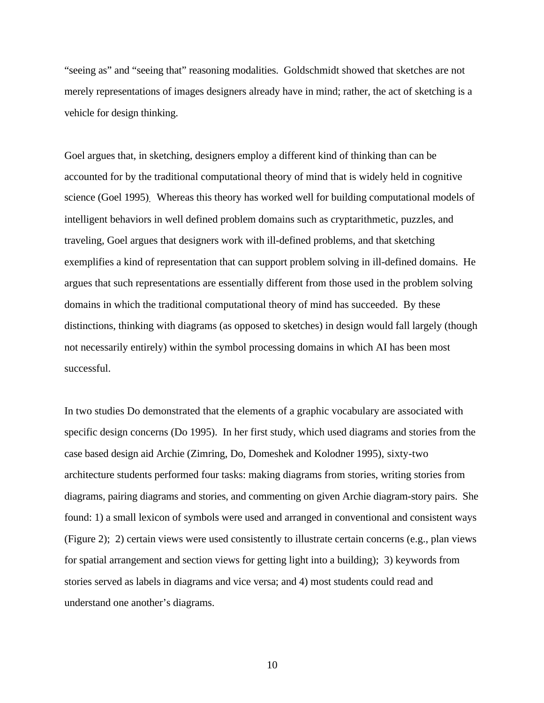"seeing as" and "seeing that" reasoning modalities. Goldschmidt showed that sketches are not merely representations of images designers already have in mind; rather, the act of sketching is a vehicle for design thinking.

Goel argues that, in sketching, designers employ a different kind of thinking than can be accounted for by the traditional computational theory of mind that is widely held in cognitive science (Goel 1995). Whereas this theory has worked well for building computational models of intelligent behaviors in well defined problem domains such as cryptarithmetic, puzzles, and traveling, Goel argues that designers work with ill-defined problems, and that sketching exemplifies a kind of representation that can support problem solving in ill-defined domains. He argues that such representations are essentially different from those used in the problem solving domains in which the traditional computational theory of mind has succeeded. By these distinctions, thinking with diagrams (as opposed to sketches) in design would fall largely (though not necessarily entirely) within the symbol processing domains in which AI has been most successful.

In two studies Do demonstrated that the elements of a graphic vocabulary are associated with specific design concerns (Do 1995). In her first study, which used diagrams and stories from the case based design aid Archie (Zimring, Do, Domeshek and Kolodner 1995), sixty-two architecture students performed four tasks: making diagrams from stories, writing stories from diagrams, pairing diagrams and stories, and commenting on given Archie diagram-story pairs. She found: 1) a small lexicon of symbols were used and arranged in conventional and consistent ways (Figure 2); 2) certain views were used consistently to illustrate certain concerns (e.g., plan views for spatial arrangement and section views for getting light into a building); 3) keywords from stories served as labels in diagrams and vice versa; and 4) most students could read and understand one another's diagrams.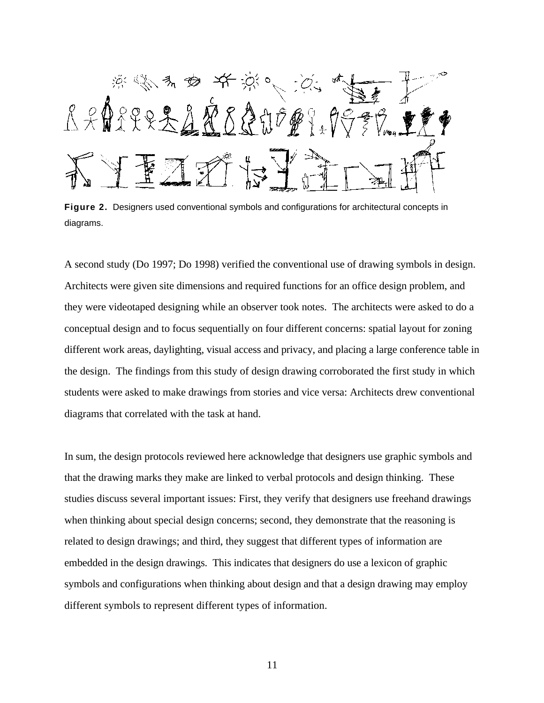

**Figure 2.** Designers used conventional symbols and configurations for architectural concepts in diagrams.

A second study (Do 1997; Do 1998) verified the conventional use of drawing symbols in design. Architects were given site dimensions and required functions for an office design problem, and they were videotaped designing while an observer took notes. The architects were asked to do a conceptual design and to focus sequentially on four different concerns: spatial layout for zoning different work areas, daylighting, visual access and privacy, and placing a large conference table in the design. The findings from this study of design drawing corroborated the first study in which students were asked to make drawings from stories and vice versa: Architects drew conventional diagrams that correlated with the task at hand.

In sum, the design protocols reviewed here acknowledge that designers use graphic symbols and that the drawing marks they make are linked to verbal protocols and design thinking. These studies discuss several important issues: First, they verify that designers use freehand drawings when thinking about special design concerns; second, they demonstrate that the reasoning is related to design drawings; and third, they suggest that different types of information are embedded in the design drawings. This indicates that designers do use a lexicon of graphic symbols and configurations when thinking about design and that a design drawing may employ different symbols to represent different types of information.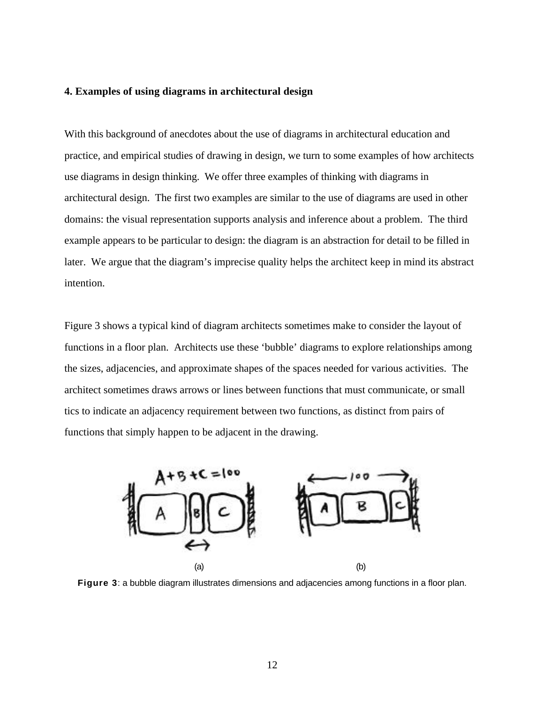#### **4. Examples of using diagrams in architectural design**

With this background of anecdotes about the use of diagrams in architectural education and practice, and empirical studies of drawing in design, we turn to some examples of how architects use diagrams in design thinking. We offer three examples of thinking with diagrams in architectural design. The first two examples are similar to the use of diagrams are used in other domains: the visual representation supports analysis and inference about a problem. The third example appears to be particular to design: the diagram is an abstraction for detail to be filled in later. We argue that the diagram's imprecise quality helps the architect keep in mind its abstract intention.

Figure 3 shows a typical kind of diagram architects sometimes make to consider the layout of functions in a floor plan. Architects use these 'bubble' diagrams to explore relationships among the sizes, adjacencies, and approximate shapes of the spaces needed for various activities. The architect sometimes draws arrows or lines between functions that must communicate, or small tics to indicate an adjacency requirement between two functions, as distinct from pairs of functions that simply happen to be adjacent in the drawing.



**Figure 3**: a bubble diagram illustrates dimensions and adjacencies among functions in a floor plan.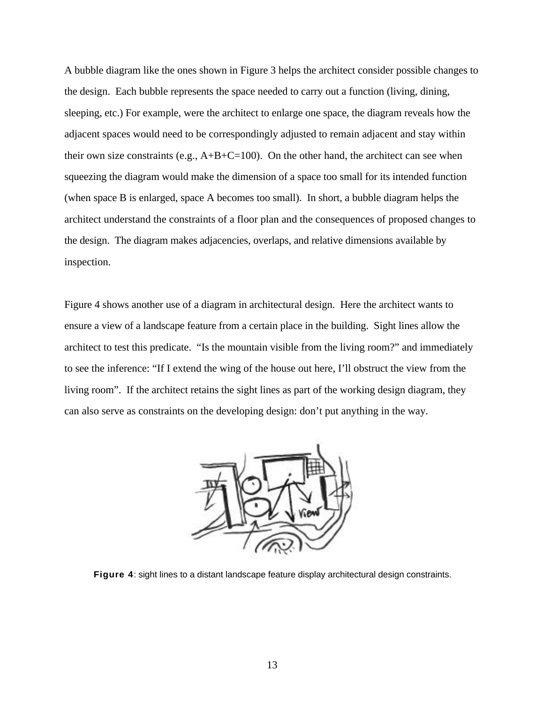A bubble diagram like the ones shown in Figure 3 helps the architect consider possible changes to the design. Each bubble represents the space needed to carry out a function (living, dining, sleeping, etc.) For example, were the architect to enlarge one space, the diagram reveals how the adjacent spaces would need to be correspondingly adjusted to remain adjacent and stay within their own size constraints (e.g.,  $A+B+C=100$ ). On the other hand, the architect can see when squeezing the diagram would make the dimension of a space too small for its intended function (when space B is enlarged, space A becomes too small). In short, a bubble diagram helps the architect understand the constraints of a floor plan and the consequences of proposed changes to the design. The diagram makes adjacencies, overlaps, and relative dimensions available by inspection.

Figure 4 shows another use of a diagram in architectural design. Here the architect wants to ensure a view of a landscape feature from a certain place in the building. Sight lines allow the architect to test this predicate. "Is the mountain visible from the living room?" and immediately to see the inference: "If I extend the wing of the house out here, I'll obstruct the view from the living room". If the architect retains the sight lines as part of the working design diagram, they can also serve as constraints on the developing design: don't put anything in the way.



**Figure 4**: sight lines to a distant landscape feature display architectural design constraints.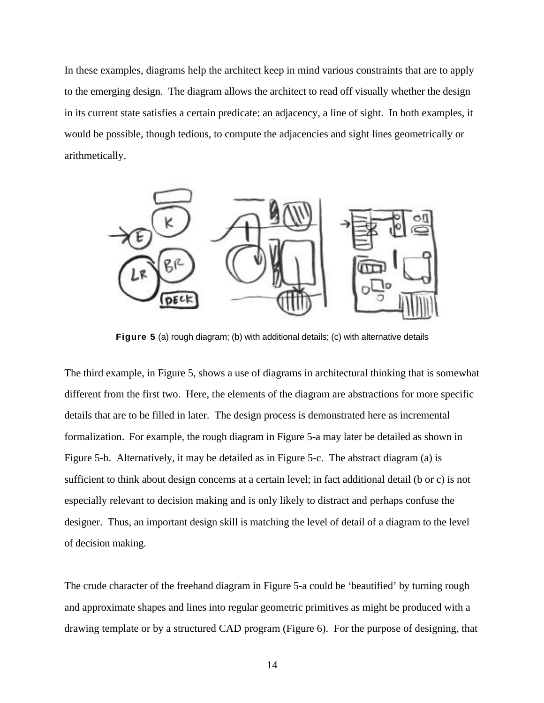In these examples, diagrams help the architect keep in mind various constraints that are to apply to the emerging design. The diagram allows the architect to read off visually whether the design in its current state satisfies a certain predicate: an adjacency, a line of sight. In both examples, it would be possible, though tedious, to compute the adjacencies and sight lines geometrically or arithmetically.



Figure 5 (a) rough diagram; (b) with additional details; (c) with alternative details

The third example, in Figure 5, shows a use of diagrams in architectural thinking that is somewhat different from the first two. Here, the elements of the diagram are abstractions for more specific details that are to be filled in later. The design process is demonstrated here as incremental formalization. For example, the rough diagram in Figure 5-a may later be detailed as shown in Figure 5-b. Alternatively, it may be detailed as in Figure 5-c. The abstract diagram (a) is sufficient to think about design concerns at a certain level; in fact additional detail (b or c) is not especially relevant to decision making and is only likely to distract and perhaps confuse the designer. Thus, an important design skill is matching the level of detail of a diagram to the level of decision making.

The crude character of the freehand diagram in Figure 5-a could be 'beautified' by turning rough and approximate shapes and lines into regular geometric primitives as might be produced with a drawing template or by a structured CAD program (Figure 6). For the purpose of designing, that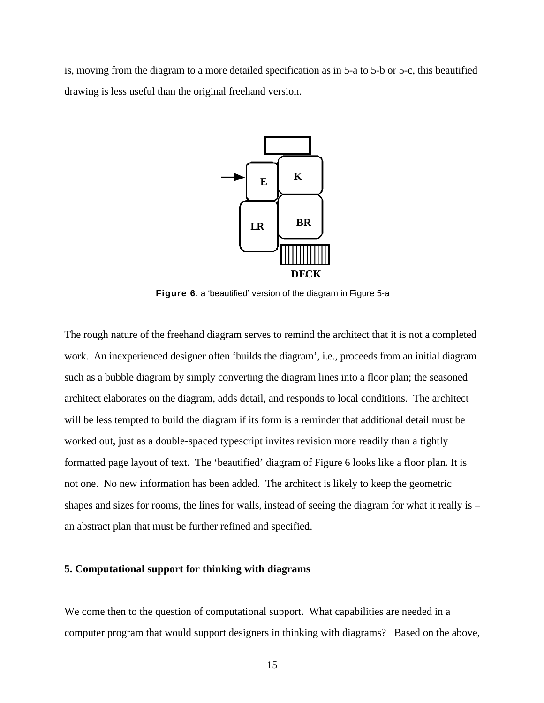is, moving from the diagram to a more detailed specification as in 5-a to 5-b or 5-c, this beautified drawing is less useful than the original freehand version.



**Figure 6**: a 'beautified' version of the diagram in Figure 5-a

The rough nature of the freehand diagram serves to remind the architect that it is not a completed work. An inexperienced designer often 'builds the diagram', i.e., proceeds from an initial diagram such as a bubble diagram by simply converting the diagram lines into a floor plan; the seasoned architect elaborates on the diagram, adds detail, and responds to local conditions. The architect will be less tempted to build the diagram if its form is a reminder that additional detail must be worked out, just as a double-spaced typescript invites revision more readily than a tightly formatted page layout of text. The 'beautified' diagram of Figure 6 looks like a floor plan. It is not one. No new information has been added. The architect is likely to keep the geometric shapes and sizes for rooms, the lines for walls, instead of seeing the diagram for what it really is – an abstract plan that must be further refined and specified.

## **5. Computational support for thinking with diagrams**

We come then to the question of computational support. What capabilities are needed in a computer program that would support designers in thinking with diagrams? Based on the above,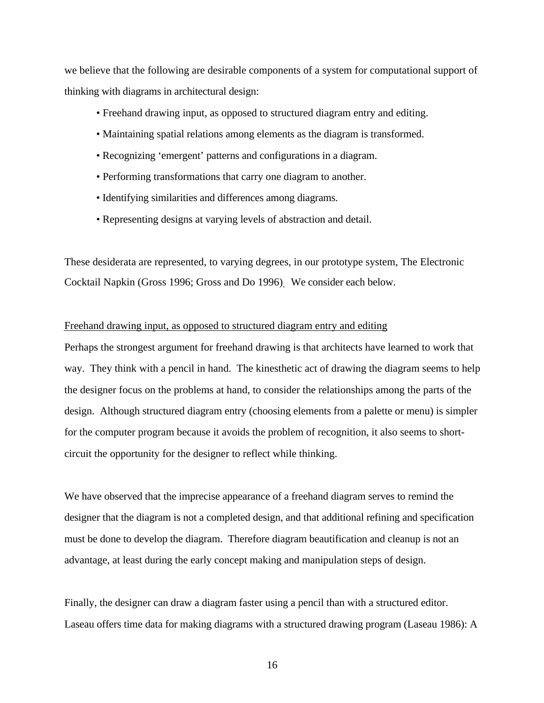we believe that the following are desirable components of a system for computational support of thinking with diagrams in architectural design:

- Freehand drawing input, as opposed to structured diagram entry and editing.
- Maintaining spatial relations among elements as the diagram is transformed.
- Recognizing 'emergent' patterns and configurations in a diagram.
- Performing transformations that carry one diagram to another.
- Identifying similarities and differences among diagrams.
- Representing designs at varying levels of abstraction and detail.

These desiderata are represented, to varying degrees, in our prototype system, The Electronic Cocktail Napkin (Gross 1996; Gross and Do 1996). We consider each below.

#### Freehand drawing input, as opposed to structured diagram entry and editing

Perhaps the strongest argument for freehand drawing is that architects have learned to work that way. They think with a pencil in hand. The kinesthetic act of drawing the diagram seems to help the designer focus on the problems at hand, to consider the relationships among the parts of the design. Although structured diagram entry (choosing elements from a palette or menu) is simpler for the computer program because it avoids the problem of recognition, it also seems to shortcircuit the opportunity for the designer to reflect while thinking.

We have observed that the imprecise appearance of a freehand diagram serves to remind the designer that the diagram is not a completed design, and that additional refining and specification must be done to develop the diagram. Therefore diagram beautification and cleanup is not an advantage, at least during the early concept making and manipulation steps of design.

Finally, the designer can draw a diagram faster using a pencil than with a structured editor. Laseau offers time data for making diagrams with a structured drawing program (Laseau 1986): A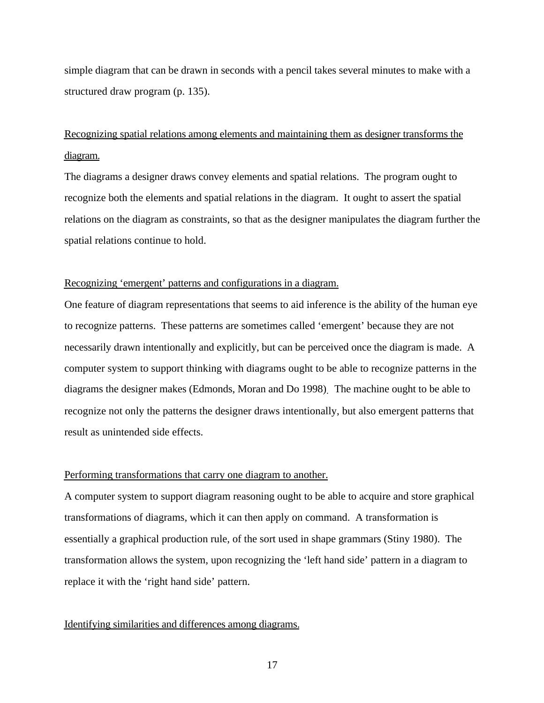simple diagram that can be drawn in seconds with a pencil takes several minutes to make with a structured draw program (p. 135).

# Recognizing spatial relations among elements and maintaining them as designer transforms the diagram.

The diagrams a designer draws convey elements and spatial relations. The program ought to recognize both the elements and spatial relations in the diagram. It ought to assert the spatial relations on the diagram as constraints, so that as the designer manipulates the diagram further the spatial relations continue to hold.

## Recognizing 'emergent' patterns and configurations in a diagram.

One feature of diagram representations that seems to aid inference is the ability of the human eye to recognize patterns. These patterns are sometimes called 'emergent' because they are not necessarily drawn intentionally and explicitly, but can be perceived once the diagram is made. A computer system to support thinking with diagrams ought to be able to recognize patterns in the diagrams the designer makes (Edmonds, Moran and Do 1998). The machine ought to be able to recognize not only the patterns the designer draws intentionally, but also emergent patterns that result as unintended side effects.

## Performing transformations that carry one diagram to another.

A computer system to support diagram reasoning ought to be able to acquire and store graphical transformations of diagrams, which it can then apply on command. A transformation is essentially a graphical production rule, of the sort used in shape grammars (Stiny 1980). The transformation allows the system, upon recognizing the 'left hand side' pattern in a diagram to replace it with the 'right hand side' pattern.

## Identifying similarities and differences among diagrams.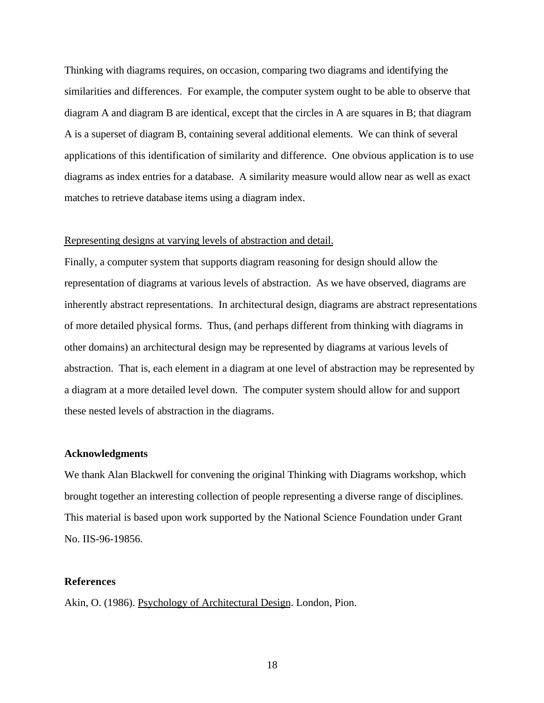Thinking with diagrams requires, on occasion, comparing two diagrams and identifying the similarities and differences. For example, the computer system ought to be able to observe that diagram A and diagram B are identical, except that the circles in A are squares in B; that diagram A is a superset of diagram B, containing several additional elements. We can think of several applications of this identification of similarity and difference. One obvious application is to use diagrams as index entries for a database. A similarity measure would allow near as well as exact matches to retrieve database items using a diagram index.

### Representing designs at varying levels of abstraction and detail.

Finally, a computer system that supports diagram reasoning for design should allow the representation of diagrams at various levels of abstraction. As we have observed, diagrams are inherently abstract representations. In architectural design, diagrams are abstract representations of more detailed physical forms. Thus, (and perhaps different from thinking with diagrams in other domains) an architectural design may be represented by diagrams at various levels of abstraction. That is, each element in a diagram at one level of abstraction may be represented by a diagram at a more detailed level down. The computer system should allow for and support these nested levels of abstraction in the diagrams.

## **Acknowledgments**

We thank Alan Blackwell for convening the original Thinking with Diagrams workshop, which brought together an interesting collection of people representing a diverse range of disciplines. This material is based upon work supported by the National Science Foundation under Grant No. IIS-96-19856.

## **References**

Akin, O. (1986). Psychology of Architectural Design. London, Pion.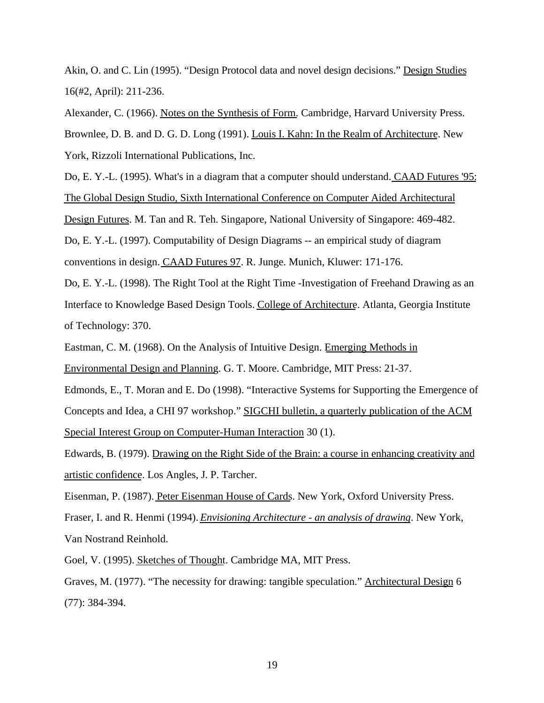Akin, O. and C. Lin (1995). "Design Protocol data and novel design decisions." Design Studies 16(#2, April): 211-236.

Alexander, C. (1966). Notes on the Synthesis of Form. Cambridge, Harvard University Press. Brownlee, D. B. and D. G. D. Long (1991). Louis I. Kahn: In the Realm of Architecture. New York, Rizzoli International Publications, Inc.

Do, E. Y.-L. (1995). What's in a diagram that a computer should understand. CAAD Futures '95: The Global Design Studio, Sixth International Conference on Computer Aided Architectural

Design Futures. M. Tan and R. Teh. Singapore, National University of Singapore: 469-482.

Do, E. Y.-L. (1997). Computability of Design Diagrams -- an empirical study of diagram conventions in design. CAAD Futures 97. R. Junge. Munich, Kluwer: 171-176.

Do, E. Y.-L. (1998). The Right Tool at the Right Time -Investigation of Freehand Drawing as an Interface to Knowledge Based Design Tools. College of Architecture. Atlanta, Georgia Institute of Technology: 370.

Eastman, C. M. (1968). On the Analysis of Intuitive Design. Emerging Methods in

Environmental Design and Planning. G. T. Moore. Cambridge, MIT Press: 21-37.

Edmonds, E., T. Moran and E. Do (1998). "Interactive Systems for Supporting the Emergence of Concepts and Idea, a CHI 97 workshop." SIGCHI bulletin, a quarterly publication of the ACM Special Interest Group on Computer-Human Interaction 30 (1).

Edwards, B. (1979). Drawing on the Right Side of the Brain: a course in enhancing creativity and artistic confidence. Los Angles, J. P. Tarcher.

Eisenman, P. (1987). Peter Eisenman House of Cards. New York, Oxford University Press.

Fraser, I. and R. Henmi (1994). *Envisioning Architecture - an analysis of drawing*. New York, Van Nostrand Reinhold.

Goel, V. (1995). Sketches of Thought. Cambridge MA, MIT Press.

Graves, M. (1977). "The necessity for drawing: tangible speculation." Architectural Design 6 (77): 384-394.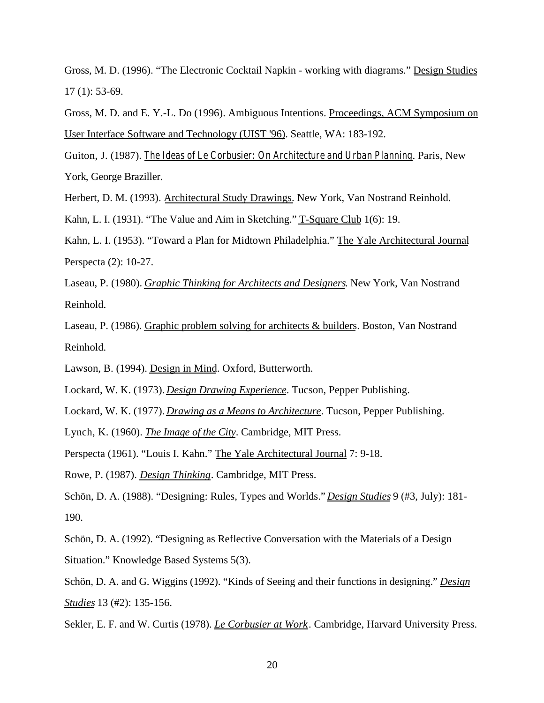Gross, M. D. (1996). "The Electronic Cocktail Napkin - working with diagrams." Design Studies 17 (1): 53-69.

Gross, M. D. and E. Y.-L. Do (1996). Ambiguous Intentions. Proceedings, ACM Symposium on User Interface Software and Technology (UIST '96). Seattle, WA: 183-192.

Guiton, J. (1987). *The Ideas of Le Corbusier: On Architecture and Urban Planning*. Paris, New York, George Braziller.

Herbert, D. M. (1993). Architectural Study Drawings. New York, Van Nostrand Reinhold.

Kahn, L. I. (1931). "The Value and Aim in Sketching." T-Square Club 1(6): 19.

Kahn, L. I. (1953). "Toward a Plan for Midtown Philadelphia." The Yale Architectural Journal Perspecta (2): 10-27.

Laseau, P. (1980). *Graphic Thinking for Architects and Designers*. New York, Van Nostrand Reinhold.

Laseau, P. (1986). Graphic problem solving for architects & builders. Boston, Van Nostrand Reinhold.

Lawson, B. (1994). Design in Mind. Oxford, Butterworth.

Lockard, W. K. (1973). *Design Drawing Experience*. Tucson, Pepper Publishing.

Lockard, W. K. (1977). *Drawing as a Means to Architecture*. Tucson, Pepper Publishing.

Lynch, K. (1960). *The Image of the City*. Cambridge, MIT Press.

Perspecta (1961). "Louis I. Kahn." The Yale Architectural Journal 7: 9-18.

Rowe, P. (1987). *Design Thinking*. Cambridge, MIT Press.

Schön, D. A. (1988). "Designing: Rules, Types and Worlds." *Design Studies* 9 (#3, July): 181- 190.

Schön, D. A. (1992). "Designing as Reflective Conversation with the Materials of a Design Situation." Knowledge Based Systems 5(3).

Schön, D. A. and G. Wiggins (1992). "Kinds of Seeing and their functions in designing." *Design Studies* 13 (#2): 135-156.

Sekler, E. F. and W. Curtis (1978). *Le Corbusier at Work*. Cambridge, Harvard University Press.